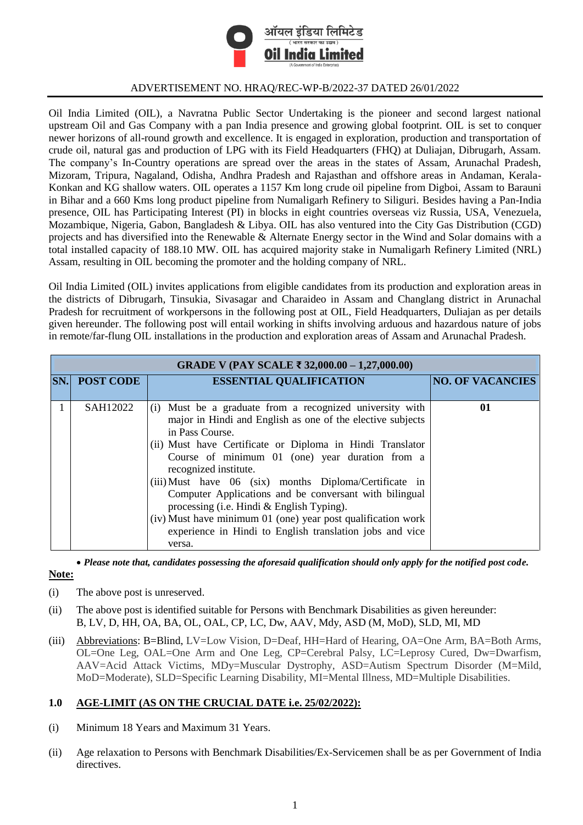

## ADVERTISEMENT NO. HRAQ/REC-WP-B/2022-37 DATED 26/01/2022

Oil India Limited (OIL), a Navratna Public Sector Undertaking is the pioneer and second largest national upstream Oil and Gas Company with a pan India presence and growing global footprint. OIL is set to conquer newer horizons of all-round growth and excellence. It is engaged in exploration, production and transportation of crude oil, natural gas and production of LPG with its Field Headquarters (FHQ) at Duliajan, Dibrugarh, Assam. The company's In-Country operations are spread over the areas in the states of Assam, Arunachal Pradesh, Mizoram, Tripura, Nagaland, Odisha, Andhra Pradesh and Rajasthan and offshore areas in Andaman, Kerala-Konkan and KG shallow waters. OIL operates a 1157 Km long crude oil pipeline from Digboi, Assam to Barauni in Bihar and a 660 Kms long product pipeline from Numaligarh Refinery to Siliguri. Besides having a Pan-India presence, OIL has Participating Interest (PI) in blocks in eight countries overseas viz Russia, USA, Venezuela, Mozambique, Nigeria, Gabon, Bangladesh & Libya. OIL has also ventured into the City Gas Distribution (CGD) projects and has diversified into the Renewable & Alternate Energy sector in the Wind and Solar domains with a total installed capacity of 188.10 MW. OIL has acquired majority stake in Numaligarh Refinery Limited (NRL) Assam, resulting in OIL becoming the promoter and the holding company of NRL.

Oil India Limited (OIL) invites applications from eligible candidates from its production and exploration areas in the districts of Dibrugarh, Tinsukia, Sivasagar and Charaideo in Assam and Changlang district in Arunachal Pradesh for recruitment of workpersons in the following post at OIL, Field Headquarters, Duliajan as per details given hereunder. The following post will entail working in shifts involving arduous and hazardous nature of jobs in remote/far-flung OIL installations in the production and exploration areas of Assam and Arunachal Pradesh.

| GRADE V (PAY SCALE ₹ 32,000.00 – 1,27,000.00) |                  |                                                                                                                                                                                                                                                                                                                                                                                                                                                                                                                                                                                           |                         |  |
|-----------------------------------------------|------------------|-------------------------------------------------------------------------------------------------------------------------------------------------------------------------------------------------------------------------------------------------------------------------------------------------------------------------------------------------------------------------------------------------------------------------------------------------------------------------------------------------------------------------------------------------------------------------------------------|-------------------------|--|
| SN.                                           | <b>POST CODE</b> | <b>ESSENTIAL QUALIFICATION</b>                                                                                                                                                                                                                                                                                                                                                                                                                                                                                                                                                            | <b>NO. OF VACANCIES</b> |  |
|                                               | SAH12022         | (i) Must be a graduate from a recognized university with<br>major in Hindi and English as one of the elective subjects<br>in Pass Course.<br>(ii) Must have Certificate or Diploma in Hindi Translator<br>Course of minimum 01 (one) year duration from a<br>recognized institute.<br>(iii) Must have 06 (six) months Diploma/Certificate in<br>Computer Applications and be conversant with bilingual<br>processing (i.e. Hindi & English Typing).<br>(iv) Must have minimum 01 (one) year post qualification work<br>experience in Hindi to English translation jobs and vice<br>versa. | 01                      |  |

 *Please note that, candidates possessing the aforesaid qualification should only apply for the notified post code.* **Note:**

- (i) The above post is unreserved.
- (ii) The above post is identified suitable for Persons with Benchmark Disabilities as given hereunder: B, LV, D, HH, OA, BA, OL, OAL, CP, LC, Dw, AAV, Mdy, ASD (M, MoD), SLD, MI, MD
- (iii) Abbreviations: B=Blind, LV=Low Vision, D=Deaf, HH=Hard of Hearing, OA=One Arm, BA=Both Arms, OL=One Leg, OAL=One Arm and One Leg, CP=Cerebral Palsy, LC=Leprosy Cured, Dw=Dwarfism, AAV=Acid Attack Victims, MDy=Muscular Dystrophy, ASD=Autism Spectrum Disorder (M=Mild, MoD=Moderate), SLD=Specific Learning Disability, MI=Mental Illness, MD=Multiple Disabilities.

# **1.0 AGE-LIMIT (AS ON THE CRUCIAL DATE i.e. 25/02/2022):**

- (i) Minimum 18 Years and Maximum 31 Years.
- (ii) Age relaxation to Persons with Benchmark Disabilities/Ex-Servicemen shall be as per Government of India directives.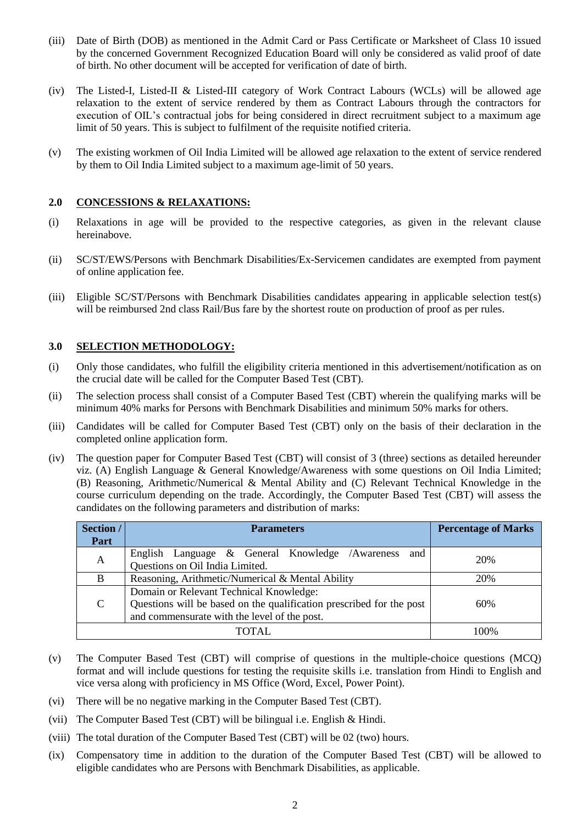- (iii) Date of Birth (DOB) as mentioned in the Admit Card or Pass Certificate or Marksheet of Class 10 issued by the concerned Government Recognized Education Board will only be considered as valid proof of date of birth. No other document will be accepted for verification of date of birth.
- (iv) The Listed-I, Listed-II & Listed-III category of Work Contract Labours (WCLs) will be allowed age relaxation to the extent of service rendered by them as Contract Labours through the contractors for execution of OIL's contractual jobs for being considered in direct recruitment subject to a maximum age limit of 50 years. This is subject to fulfilment of the requisite notified criteria.
- (v) The existing workmen of Oil India Limited will be allowed age relaxation to the extent of service rendered by them to Oil India Limited subject to a maximum age-limit of 50 years.

#### **2.0 CONCESSIONS & RELAXATIONS:**

- (i) Relaxations in age will be provided to the respective categories, as given in the relevant clause hereinabove.
- (ii) SC/ST/EWS/Persons with Benchmark Disabilities/Ex-Servicemen candidates are exempted from payment of online application fee.
- (iii) Eligible SC/ST/Persons with Benchmark Disabilities candidates appearing in applicable selection test(s) will be reimbursed 2nd class Rail/Bus fare by the shortest route on production of proof as per rules.

## **3.0 SELECTION METHODOLOGY:**

- (i) Only those candidates, who fulfill the eligibility criteria mentioned in this advertisement/notification as on the crucial date will be called for the Computer Based Test (CBT).
- (ii) The selection process shall consist of a Computer Based Test (CBT) wherein the qualifying marks will be minimum 40% marks for Persons with Benchmark Disabilities and minimum 50% marks for others.
- (iii) Candidates will be called for Computer Based Test (CBT) only on the basis of their declaration in the completed online application form.
- (iv) The question paper for Computer Based Test (CBT) will consist of 3 (three) sections as detailed hereunder viz. (A) English Language & General Knowledge/Awareness with some questions on Oil India Limited; (B) Reasoning, Arithmetic/Numerical & Mental Ability and (C) Relevant Technical Knowledge in the course curriculum depending on the trade. Accordingly, the Computer Based Test (CBT) will assess the candidates on the following parameters and distribution of marks:

| Section /    | <b>Parameters</b>                                                    | <b>Percentage of Marks</b> |  |
|--------------|----------------------------------------------------------------------|----------------------------|--|
| Part         |                                                                      |                            |  |
| A            | English Language & General Knowledge /Awareness<br>and               | 20%                        |  |
|              | Questions on Oil India Limited.                                      |                            |  |
| <sup>B</sup> | Reasoning, Arithmetic/Numerical & Mental Ability                     | 20%                        |  |
|              | Domain or Relevant Technical Knowledge:                              |                            |  |
| C            | Questions will be based on the qualification prescribed for the post | 60%                        |  |
|              | and commensurate with the level of the post.                         |                            |  |
|              | TOTAL.                                                               | 100%                       |  |

- (v) The Computer Based Test (CBT) will comprise of questions in the multiple-choice questions (MCQ) format and will include questions for testing the requisite skills i.e. translation from Hindi to English and vice versa along with proficiency in MS Office (Word, Excel, Power Point).
- (vi) There will be no negative marking in the Computer Based Test (CBT).
- (vii) The Computer Based Test (CBT) will be bilingual i.e. English & Hindi.
- (viii) The total duration of the Computer Based Test (CBT) will be 02 (two) hours.
- (ix) Compensatory time in addition to the duration of the Computer Based Test (CBT) will be allowed to eligible candidates who are Persons with Benchmark Disabilities, as applicable.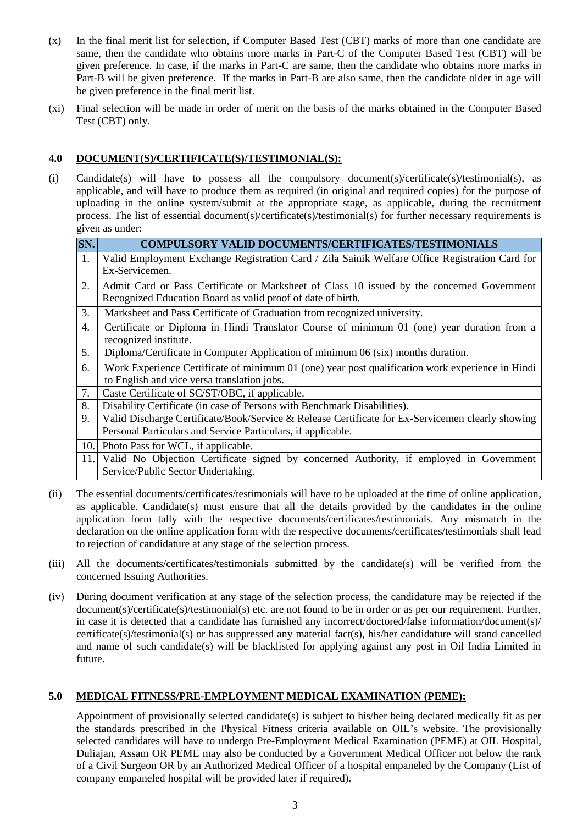- (x) In the final merit list for selection, if Computer Based Test (CBT) marks of more than one candidate are same, then the candidate who obtains more marks in Part-C of the Computer Based Test (CBT) will be given preference. In case, if the marks in Part-C are same, then the candidate who obtains more marks in Part-B will be given preference. If the marks in Part-B are also same, then the candidate older in age will be given preference in the final merit list.
- (xi) Final selection will be made in order of merit on the basis of the marks obtained in the Computer Based Test (CBT) only.

# **4.0 DOCUMENT(S)/CERTIFICATE(S)/TESTIMONIAL(S):**

(i) Candidate(s) will have to possess all the compulsory document(s)/certificate(s)/testimonial(s), as applicable, and will have to produce them as required (in original and required copies) for the purpose of uploading in the online system/submit at the appropriate stage, as applicable, during the recruitment process. The list of essential document(s)/certificate(s)/testimonial(s) for further necessary requirements is given as under:

| SN. | <b>COMPULSORY VALID DOCUMENTS/CERTIFICATES/TESTIMONIALS</b>                                      |  |  |
|-----|--------------------------------------------------------------------------------------------------|--|--|
| 1.  | Valid Employment Exchange Registration Card / Zila Sainik Welfare Office Registration Card for   |  |  |
|     | Ex-Servicemen.                                                                                   |  |  |
| 2.  | Admit Card or Pass Certificate or Marksheet of Class 10 issued by the concerned Government       |  |  |
|     | Recognized Education Board as valid proof of date of birth.                                      |  |  |
| 3.  | Marksheet and Pass Certificate of Graduation from recognized university.                         |  |  |
| 4.  | Certificate or Diploma in Hindi Translator Course of minimum 01 (one) year duration from a       |  |  |
|     | recognized institute.                                                                            |  |  |
| 5.  | Diploma/Certificate in Computer Application of minimum 06 (six) months duration.                 |  |  |
| 6.  | Work Experience Certificate of minimum 01 (one) year post qualification work experience in Hindi |  |  |
|     | to English and vice versa translation jobs.                                                      |  |  |
| 7.  | Caste Certificate of SC/ST/OBC, if applicable.                                                   |  |  |
| 8.  | Disability Certificate (in case of Persons with Benchmark Disabilities).                         |  |  |
| 9.  | Valid Discharge Certificate/Book/Service & Release Certificate for Ex-Servicemen clearly showing |  |  |
|     | Personal Particulars and Service Particulars, if applicable.                                     |  |  |
| 10. | Photo Pass for WCL, if applicable.                                                               |  |  |
| 11. | Valid No Objection Certificate signed by concerned Authority, if employed in Government          |  |  |
|     | Service/Public Sector Undertaking.                                                               |  |  |

- (ii) The essential documents/certificates/testimonials will have to be uploaded at the time of online application, as applicable. Candidate(s) must ensure that all the details provided by the candidates in the online application form tally with the respective documents/certificates/testimonials. Any mismatch in the declaration on the online application form with the respective documents/certificates/testimonials shall lead to rejection of candidature at any stage of the selection process.
- (iii) All the documents/certificates/testimonials submitted by the candidate(s) will be verified from the concerned Issuing Authorities.
- (iv) During document verification at any stage of the selection process, the candidature may be rejected if the document(s)/certificate(s)/testimonial(s) etc. are not found to be in order or as per our requirement. Further, in case it is detected that a candidate has furnished any incorrect/doctored/false information/document(s)/ certificate(s)/testimonial(s) or has suppressed any material fact(s), his/her candidature will stand cancelled and name of such candidate(s) will be blacklisted for applying against any post in Oil India Limited in future.

#### **5.0 MEDICAL FITNESS/PRE-EMPLOYMENT MEDICAL EXAMINATION (PEME):**

Appointment of provisionally selected candidate(s) is subject to his/her being declared medically fit as per the standards prescribed in the Physical Fitness criteria available on OIL's website. The provisionally selected candidates will have to undergo Pre-Employment Medical Examination (PEME) at OIL Hospital, Duliajan, Assam OR PEME may also be conducted by a Government Medical Officer not below the rank of a Civil Surgeon OR by an Authorized Medical Officer of a hospital empaneled by the Company (List of company empaneled hospital will be provided later if required).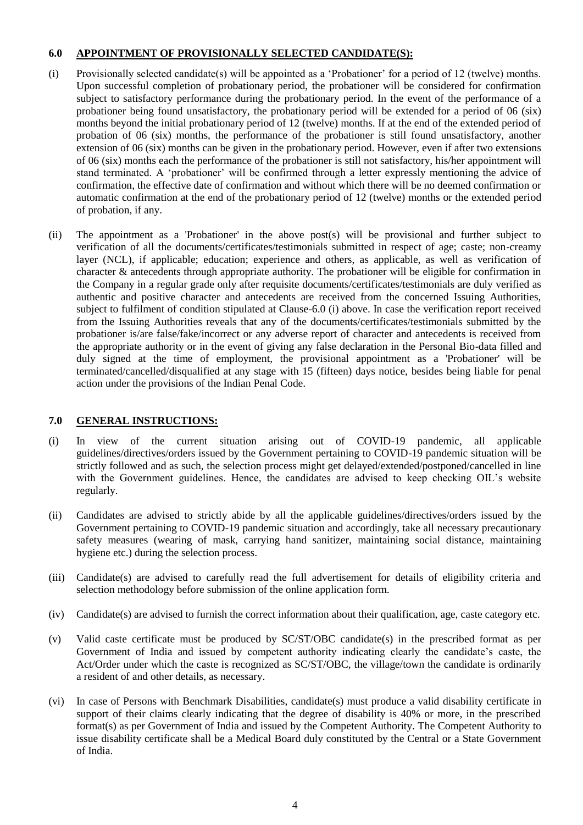## **6.0 APPOINTMENT OF PROVISIONALLY SELECTED CANDIDATE(S):**

- (i) Provisionally selected candidate(s) will be appointed as a 'Probationer' for a period of 12 (twelve) months. Upon successful completion of probationary period, the probationer will be considered for confirmation subject to satisfactory performance during the probationary period. In the event of the performance of a probationer being found unsatisfactory, the probationary period will be extended for a period of 06 (six) months beyond the initial probationary period of 12 (twelve) months. If at the end of the extended period of probation of 06 (six) months, the performance of the probationer is still found unsatisfactory, another extension of 06 (six) months can be given in the probationary period. However, even if after two extensions of 06 (six) months each the performance of the probationer is still not satisfactory, his/her appointment will stand terminated. A 'probationer' will be confirmed through a letter expressly mentioning the advice of confirmation, the effective date of confirmation and without which there will be no deemed confirmation or automatic confirmation at the end of the probationary period of 12 (twelve) months or the extended period of probation, if any.
- (ii) The appointment as a 'Probationer' in the above post(s) will be provisional and further subject to verification of all the documents/certificates/testimonials submitted in respect of age; caste; non-creamy layer (NCL), if applicable; education; experience and others, as applicable, as well as verification of character & antecedents through appropriate authority. The probationer will be eligible for confirmation in the Company in a regular grade only after requisite documents/certificates/testimonials are duly verified as authentic and positive character and antecedents are received from the concerned Issuing Authorities, subject to fulfilment of condition stipulated at Clause-6.0 (i) above. In case the verification report received from the Issuing Authorities reveals that any of the documents/certificates/testimonials submitted by the probationer is/are false/fake/incorrect or any adverse report of character and antecedents is received from the appropriate authority or in the event of giving any false declaration in the Personal Bio-data filled and duly signed at the time of employment, the provisional appointment as a 'Probationer' will be terminated/cancelled/disqualified at any stage with 15 (fifteen) days notice, besides being liable for penal action under the provisions of the Indian Penal Code.

# **7.0 GENERAL INSTRUCTIONS:**

- (i) In view of the current situation arising out of COVID-19 pandemic, all applicable guidelines/directives/orders issued by the Government pertaining to COVID-19 pandemic situation will be strictly followed and as such, the selection process might get delayed/extended/postponed/cancelled in line with the Government guidelines. Hence, the candidates are advised to keep checking OIL's website regularly.
- (ii) Candidates are advised to strictly abide by all the applicable guidelines/directives/orders issued by the Government pertaining to COVID-19 pandemic situation and accordingly, take all necessary precautionary safety measures (wearing of mask, carrying hand sanitizer, maintaining social distance, maintaining hygiene etc.) during the selection process.
- (iii) Candidate(s) are advised to carefully read the full advertisement for details of eligibility criteria and selection methodology before submission of the online application form.
- (iv) Candidate(s) are advised to furnish the correct information about their qualification, age, caste category etc.
- (v) Valid caste certificate must be produced by SC/ST/OBC candidate(s) in the prescribed format as per Government of India and issued by competent authority indicating clearly the candidate's caste, the Act/Order under which the caste is recognized as SC/ST/OBC, the village/town the candidate is ordinarily a resident of and other details, as necessary.
- (vi) In case of Persons with Benchmark Disabilities, candidate(s) must produce a valid disability certificate in support of their claims clearly indicating that the degree of disability is 40% or more, in the prescribed format(s) as per Government of India and issued by the Competent Authority. The Competent Authority to issue disability certificate shall be a Medical Board duly constituted by the Central or a State Government of India.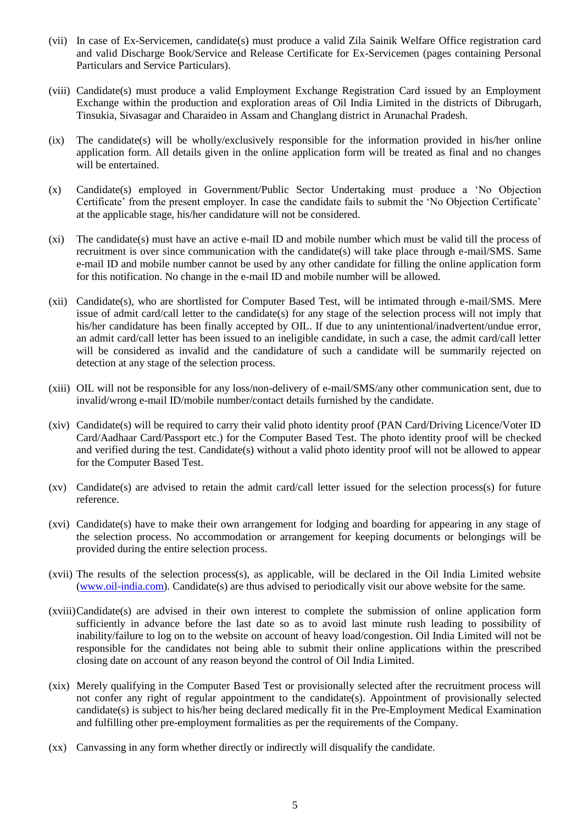- (vii) In case of Ex-Servicemen, candidate(s) must produce a valid Zila Sainik Welfare Office registration card and valid Discharge Book/Service and Release Certificate for Ex-Servicemen (pages containing Personal Particulars and Service Particulars).
- (viii) Candidate(s) must produce a valid Employment Exchange Registration Card issued by an Employment Exchange within the production and exploration areas of Oil India Limited in the districts of Dibrugarh, Tinsukia, Sivasagar and Charaideo in Assam and Changlang district in Arunachal Pradesh.
- (ix) The candidate(s) will be wholly/exclusively responsible for the information provided in his/her online application form. All details given in the online application form will be treated as final and no changes will be entertained.
- (x) Candidate(s) employed in Government/Public Sector Undertaking must produce a 'No Objection Certificate' from the present employer. In case the candidate fails to submit the 'No Objection Certificate' at the applicable stage, his/her candidature will not be considered.
- (xi) The candidate(s) must have an active e-mail ID and mobile number which must be valid till the process of recruitment is over since communication with the candidate(s) will take place through e-mail/SMS. Same e-mail ID and mobile number cannot be used by any other candidate for filling the online application form for this notification. No change in the e-mail ID and mobile number will be allowed.
- (xii) Candidate(s), who are shortlisted for Computer Based Test, will be intimated through e-mail/SMS. Mere issue of admit card/call letter to the candidate(s) for any stage of the selection process will not imply that his/her candidature has been finally accepted by OIL. If due to any unintentional/inadvertent/undue error, an admit card/call letter has been issued to an ineligible candidate, in such a case, the admit card/call letter will be considered as invalid and the candidature of such a candidate will be summarily rejected on detection at any stage of the selection process.
- (xiii) OIL will not be responsible for any loss/non-delivery of e-mail/SMS/any other communication sent, due to invalid/wrong e-mail ID/mobile number/contact details furnished by the candidate.
- (xiv) Candidate(s) will be required to carry their valid photo identity proof (PAN Card/Driving Licence/Voter ID Card/Aadhaar Card/Passport etc.) for the Computer Based Test. The photo identity proof will be checked and verified during the test. Candidate(s) without a valid photo identity proof will not be allowed to appear for the Computer Based Test.
- (xv) Candidate(s) are advised to retain the admit card/call letter issued for the selection process(s) for future reference.
- (xvi) Candidate(s) have to make their own arrangement for lodging and boarding for appearing in any stage of the selection process. No accommodation or arrangement for keeping documents or belongings will be provided during the entire selection process.
- (xvii) The results of the selection process(s), as applicable, will be declared in the Oil India Limited website [\(www.oil-india.com\)](http://www.oil-india.com/). Candidate(s) are thus advised to periodically visit our above website for the same.
- (xviii)Candidate(s) are advised in their own interest to complete the submission of online application form sufficiently in advance before the last date so as to avoid last minute rush leading to possibility of inability/failure to log on to the website on account of heavy load/congestion. Oil India Limited will not be responsible for the candidates not being able to submit their online applications within the prescribed closing date on account of any reason beyond the control of Oil India Limited.
- (xix) Merely qualifying in the Computer Based Test or provisionally selected after the recruitment process will not confer any right of regular appointment to the candidate(s). Appointment of provisionally selected candidate(s) is subject to his/her being declared medically fit in the Pre-Employment Medical Examination and fulfilling other pre-employment formalities as per the requirements of the Company.
- (xx) Canvassing in any form whether directly or indirectly will disqualify the candidate.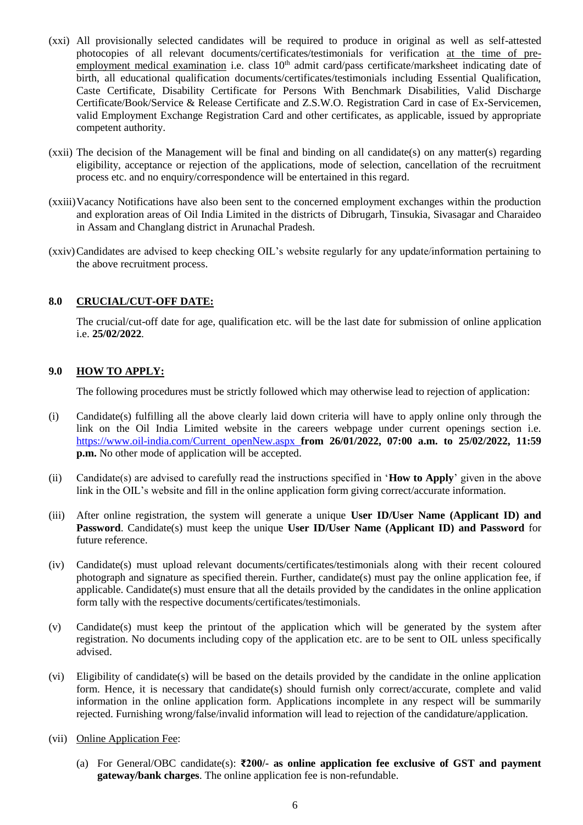- (xxi) All provisionally selected candidates will be required to produce in original as well as self-attested photocopies of all relevant documents/certificates/testimonials for verification at the time of preemployment medical examination i.e. class  $10<sup>th</sup>$  admit card/pass certificate/marksheet indicating date of birth, all educational qualification documents/certificates/testimonials including Essential Qualification, Caste Certificate, Disability Certificate for Persons With Benchmark Disabilities, Valid Discharge Certificate/Book/Service & Release Certificate and Z.S.W.O. Registration Card in case of Ex-Servicemen, valid Employment Exchange Registration Card and other certificates, as applicable, issued by appropriate competent authority.
- (xxii) The decision of the Management will be final and binding on all candidate(s) on any matter(s) regarding eligibility, acceptance or rejection of the applications, mode of selection, cancellation of the recruitment process etc. and no enquiry/correspondence will be entertained in this regard.
- (xxiii)Vacancy Notifications have also been sent to the concerned employment exchanges within the production and exploration areas of Oil India Limited in the districts of Dibrugarh, Tinsukia, Sivasagar and Charaideo in Assam and Changlang district in Arunachal Pradesh.
- (xxiv)Candidates are advised to keep checking OIL's website regularly for any update/information pertaining to the above recruitment process.

## **8.0 CRUCIAL/CUT-OFF DATE:**

The crucial/cut-off date for age, qualification etc. will be the last date for submission of online application i.e. **25/02/2022**.

## **9.0 HOW TO APPLY:**

The following procedures must be strictly followed which may otherwise lead to rejection of application:

- (i) Candidate(s) fulfilling all the above clearly laid down criteria will have to apply online only through the link on the Oil India Limited website in the careers webpage under current openings section i.e. [https://www.oil-india.com/Current\\_openNew.aspx](https://www.oil-india.com/Current_openNew.aspx) **from 26/01/2022, 07:00 a.m. to 25/02/2022, 11:59 p.m.** No other mode of application will be accepted.
- (ii) Candidate(s) are advised to carefully read the instructions specified in '**How to Apply**' given in the above link in the OIL's website and fill in the online application form giving correct/accurate information.
- (iii) After online registration, the system will generate a unique **User ID/User Name (Applicant ID) and Password**. Candidate(s) must keep the unique **User ID/User Name (Applicant ID) and Password** for future reference.
- (iv) Candidate(s) must upload relevant documents/certificates/testimonials along with their recent coloured photograph and signature as specified therein. Further, candidate(s) must pay the online application fee, if applicable. Candidate(s) must ensure that all the details provided by the candidates in the online application form tally with the respective documents/certificates/testimonials.
- (v) Candidate(s) must keep the printout of the application which will be generated by the system after registration. No documents including copy of the application etc. are to be sent to OIL unless specifically advised.
- (vi) Eligibility of candidate(s) will be based on the details provided by the candidate in the online application form. Hence, it is necessary that candidate(s) should furnish only correct/accurate, complete and valid information in the online application form. Applications incomplete in any respect will be summarily rejected. Furnishing wrong/false/invalid information will lead to rejection of the candidature/application.
- (vii) Online Application Fee:
	- (a) For General/OBC candidate(s): **₹200/- as online application fee exclusive of GST and payment gateway/bank charges**. The online application fee is non-refundable.